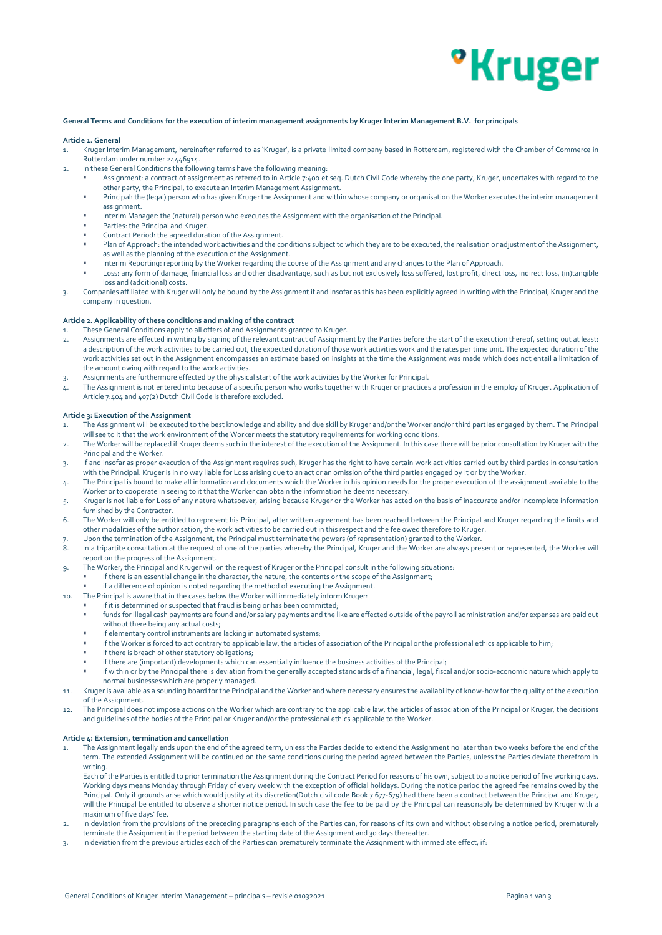## *•***Kruger**

#### **General Terms and Conditions for the execution of interim management assignments by Kruger Interim Management B.V. for principals**

#### **Article 1. General**

- 1. Kruger Interim Management, hereinafter referred to as 'Kruger', is a private limited company based in Rotterdam, registered with the Chamber of Commerce in Rotterdam under number 24446914.
- 2. In these General Conditions the following terms have the following meaning:
	- Assignment: a contract of assignment as referred to in Article 7:400 et seq. Dutch Civil Code whereby the one party, Kruger, undertakes with regard to the other party, the Principal, to execute an Interim Management Assignment.
	- Principal: the (legal) person who has given Kruger the Assignment and within whose company or organisation the Worker executes the interim management assignment.
	- Interim Manager: the (natural) person who executes the Assignment with the organisation of the Principal.
	- Parties: the Principal and Kruger.
	- Contract Period: the agreed duration of the Assignment.
	- Plan of Approach: the intended work activities and the conditions subject to which they are to be executed, the realisation or adjustment of the Assignment, as well as the planning of the execution of the Assignment.
	- Interim Reporting: reporting by the Worker regarding the course of the Assignment and any changes to the Plan of Approach.
	- Loss: any form of damage, financial loss and other disadvantage, such as but not exclusively loss suffered, lost profit, direct loss, indirect loss, (in)tangible loss and (additional) costs.
- 3. Companies affiliated with Kruger will only be bound by the Assignment if and insofar as this has been explicitly agreed in writing with the Principal, Kruger and the company in question.

## **Article 2. Applicability of these conditions and making of the contract**

- 1. These General Conditions apply to all offers of and Assignments granted to Kruger.
- 2. Assignments are effected in writing by signing of the relevant contract of Assignment by the Parties before the start of the execution thereof, setting out at least: a description of the work activities to be carried out, the expected duration of those work activities work and the rates per time unit. The expected duration of the work activities set out in the Assignment encompasses an estimate based on insights at the time the Assignment was made which does not entail a limitation of the amount owing with regard to the work activities.
- 3. Assignments are furthermore effected by the physical start of the work activities by the Worker for Principal.
- 4. The Assignment is not entered into because of a specific person who works together with Kruger or practices a profession in the employ of Kruger. Application of Article 7:404 and 407(2) Dutch Civil Code is therefore excluded.

#### **Article 3: Execution of the Assignment**

- 1. The Assignment will be executed to the best knowledge and ability and due skill by Kruger and/or the Worker and/or third parties engaged by them. The Principal will see to it that the work environment of the Worker meets the statutory requirements for working conditions.
- 2. The Worker will be replaced if Kruger deems such in the interest of the execution of the Assignment. In this case there will be prior consultation by Kruger with the Principal and the Worker.
- 3. If and insofar as proper execution of the Assignment requires such, Kruger has the right to have certain work activities carried out by third parties in consultation with the Principal. Kruger is in no way liable for Loss arising due to an act or an omission of the third parties engaged by it or by the Worker.
- 4. The Principal is bound to make all information and documents which the Worker in his opinion needs for the proper execution of the assignment available to the Worker or to cooperate in seeing to it that the Worker can obtain the information he deems necessary.
- 5. Kruger is not liable for Loss of any nature whatsoever, arising because Kruger or the Worker has acted on the basis of inaccurate and/or incomplete information furnished by the Contractor.
- 6. The Worker will only be entitled to represent his Principal, after written agreement has been reached between the Principal and Kruger regarding the limits and other modalities of the authorisation, the work activities to be carried out in this respect and the fee owed therefore to Kruger.
- Upon the termination of the Assignment, the Principal must terminate the powers (of representation) granted to the Worker.
- 8. In a tripartite consultation at the request of one of the parties whereby the Principal, Kruger and the Worker are always present or represented, the Worker will report on the progress of the Assignment.
- 9. The Worker, the Principal and Kruger will on the request of Kruger or the Principal consult in the following situations:
	- if there is an essential change in the character, the nature, the contents or the scope of the Assignment;
		- if a difference of opinion is noted regarding the method of executing the Assignment.
- 10. The Principal is aware that in the cases below the Worker will immediately inform Kruger:
	- if it is determined or suspected that fraud is being or has been committed;
	- funds for illegal cash payments are found and/or salary payments and the like are effected outside of the payroll administration and/or expenses are paid out without there being any actual costs;
		- if elementary control instruments are lacking in automated systems;
	- if the Worker is forced to act contrary to applicable law, the articles of association of the Principal or the professional ethics applicable to him;
	- if there is breach of other statutory obligations:
	- if there are (important) developments which can essentially influence the business activities of the Principal;
	- if within or by the Principal there is deviation from the generally accepted standards of a financial, legal, fiscal and/or socio-economic nature which apply to normal businesses which are properly managed.
- 11. Kruger is available as a sounding board for the Principal and the Worker and where necessary ensures the availability of know-how for the quality of the execution of the Assignment.
- 12. The Principal does not impose actions on the Worker which are contrary to the applicable law, the articles of association of the Principal or Kruger, the decisions and guidelines of the bodies of the Principal or Kruger and/or the professional ethics applicable to the Worker.

#### **Article 4: Extension, termination and cancellation**

- 1. The Assignment legally ends upon the end of the agreed term, unless the Parties decide to extend the Assignment no later than two weeks before the end of the term. The extended Assignment will be continued on the same conditions during the period agreed between the Parties, unless the Parties deviate therefrom in writing.
	- Each of the Parties is entitled to prior termination the Assignment during the Contract Period for reasons of his own, subject to a notice period of five working days. Working days means Monday through Friday of every week with the exception of official holidays. During the notice period the agreed fee remains owed by the Principal. Only if grounds arise which would justify at its discretion(Dutch civil code Book 7 677-679) had there been a contract between the Principal and Kruger, will the Principal be entitled to observe a shorter notice period. In such case the fee to be paid by the Principal can reasonably be determined by Kruger with a maximum of five days' fee.
- 2. In deviation from the provisions of the preceding paragraphs each of the Parties can, for reasons of its own and without observing a notice period, prematurely terminate the Assignment in the period between the starting date of the Assignment and 30 days thereafter.
- 3. In deviation from the previous articles each of the Parties can prematurely terminate the Assignment with immediate effect, if: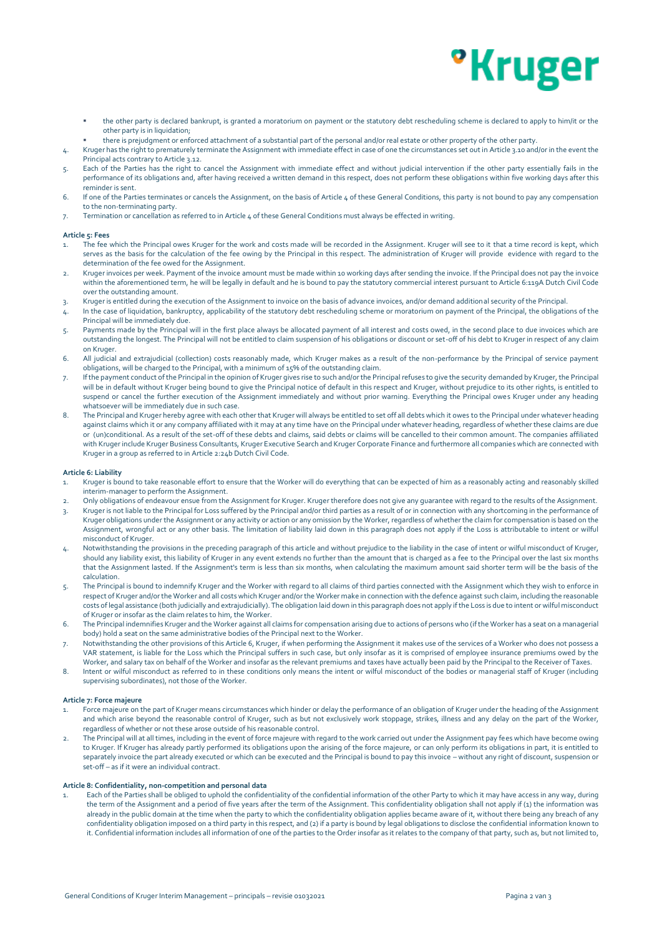# *•***Kruger**

- the other party is declared bankrupt, is granted a moratorium on payment or the statutory debt rescheduling scheme is declared to apply to him/it or the other party is in liquidation;
- there is prejudgment or enforced attachment of a substantial part of the personal and/or real estate or other property of the other party.
- 4. Kruger has the right to prematurely terminate the Assignment with immediate effect in case of one the circumstances set out in Article 3.10 and/or in the event the Principal acts contrary to Article 3.12.
- 5. Each of the Parties has the right to cancel the Assignment with immediate effect and without judicial intervention if the other party essentially fails in the performance of its obligations and, after having received a written demand in this respect, does not perform these obligations within five working days after this reminder is sent.
- 6. If one of the Parties terminates or cancels the Assignment, on the basis of Article 4 of these General Conditions, this party is not bound to pay any compensation to the non-terminating party.
- 7. Termination or cancellation as referred to in Article 4 of these General Conditions must always be effected in writing.

#### **Article 5: Fees**

- The fee which the Principal owes Kruger for the work and costs made will be recorded in the Assignment. Kruger will see to it that a time record is kept, which serves as the basis for the calculation of the fee owing by the Principal in this respect. The administration of Kruger will provide evidence with regard to the determination of the fee owed for the Assignment.
- 2. Kruger invoices per week. Payment of the invoice amount must be made within 10 working days after sending the invoice. If the Principal does not pay the invoice within the aforementioned term, he will be legally in default and he is bound to pay the statutory commercial interest pursuant to Article 6:119A Dutch Civil Code over the outstanding amount.
- 3. Kruger is entitled during the execution of the Assignment to invoice on the basis of advance invoices, and/or demand additional security of the Principal.
- 4. In the case of liquidation, bankruptcy, applicability of the statutory debt rescheduling scheme or moratorium on payment of the Principal, the obligations of the Principal will be immediately due.
- 5. Payments made by the Principal will in the first place always be allocated payment of all interest and costs owed, in the second place to due invoices which are outstanding the longest. The Principal will not be entitled to claim suspension of his obligations or discount or set-off of his debt to Kruger in respect of any claim on Kruger.
- 6. All judicial and extrajudicial (collection) costs reasonably made, which Kruger makes as a result of the non-performance by the Principal of service payment obligations, will be charged to the Principal, with a minimum of 15% of the outstanding claim.
- 7. If the payment conduct of the Principal in the opinion of Kruger gives rise to such and/or the Principal refuses to give the security demanded by Kruger, the Principal will be in default without Kruger being bound to give the Principal notice of default in this respect and Kruger, without prejudice to its other rights, is entitled to suspend or cancel the further execution of the Assignment immediately and without prior warning. Everything the Principal owes Kruger under any heading whatsoever will be immediately due in such case.
- 8. The Principal and Kruger hereby agree with each other that Kruger will always be entitled to set off all debts which it owes to the Principal under whatever heading against claims which it or any company affiliated with it may at any time have on the Principal under whatever heading, regardless of whether these claims are due or (un)conditional. As a result of the set-off of these debts and claims, said debts or claims will be cancelled to their common amount. The companies affiliated with Kruger include Kruger Business Consultants, Kruger Executive Search and Kruger Corporate Finance and furthermore all companies which are connected with Kruger in a group as referred to in Article 2:24b Dutch Civil Code.

### **Article 6: Liability**

- 1. Kruger is bound to take reasonable effort to ensure that the Worker will do everything that can be expected of him as a reasonably acting and reasonably skilled interim-manager to perform the Assignment.
- 2. Only obligations of endeavour ensue from the Assignment for Kruger. Kruger therefore does not give any guarantee with regard to the results of the Assignment. 3. Kruger is not liable to the Principal for Loss suffered by the Principal and/or third parties as a result of or in connection with any shortcoming in the performance of
- Kruger obligations under the Assignment or any activity or action or any omission by the Worker, regardless of whether the claim for compensation is based on the Assignment, wrongful act or any other basis. The limitation of liability laid down in this paragraph does not apply if the Loss is attributable to intent or wilful misconduct of Kruger.
- 4. Notwithstanding the provisions in the preceding paragraph of this article and without prejudice to the liability in the case of intent or wilful misconduct of Kruger, should any liability exist, this liability of Kruger in any event extends no further than the amount that is charged as a fee to the Principal over the last six months that the Assignment lasted. If the Assignment's term is less than six months, when calculating the maximum amount said shorter term will be the basis of the calculation.
- 5. The Principal is bound to indemnify Kruger and the Worker with regard to all claims of third parties connected with the Assignment which they wish to enforce in respect of Kruger and/or the Worker and all costs which Kruger and/or the Worker make in connection with the defence against such claim, including the reasonable costs of legal assistance (both judicially and extrajudicially). The obligation laid down in this paragraph does not apply if the Loss is due to intent or wilful misconduct of Kruger or insofar as the claim relates to him, the Worker.
- 6. The Principal indemnifies Kruger and the Worker against all claims for compensation arising due to actions of persons who (if the Worker has a seat on a managerial body) hold a seat on the same administrative bodies of the Principal next to the Worker.
- 7. Notwithstanding the other provisions of this Article 6, Kruger, if when performing the Assignment it makes use of the services of a Worker who does not possess a VAR statement, is liable for the Loss which the Principal suffers in such case, but only insofar as it is comprised of employee insurance premiums owed by the Worker, and salary tax on behalf of the Worker and insofar as the relevant premiums and taxes have actually been paid by the Principal to the Receiver of Taxes.
- 8. Intent or wilful misconduct as referred to in these conditions only means the intent or wilful misconduct of the bodies or managerial staff of Kruger (including supervising subordinates), not those of the Worker.

#### **Article 7: Force majeure**

- 1. Force majeure on the part of Kruger means circumstances which hinder or delay the performance of an obligation of Kruger under the heading of the Assignment and which arise beyond the reasonable control of Kruger, such as but not exclusively work stoppage, strikes, illness and any delay on the part of the Worker, regardless of whether or not these arose outside of his reasonable control.
- 2. The Principal will at all times, including in the event of force majeure with regard to the work carried out under the Assignment pay fees which have become owing to Kruger. If Kruger has already partly performed its obligations upon the arising of the force majeure, or can only perform its obligations in part, it is entitled to separately invoice the part already executed or which can be executed and the Principal is bound to pay this invoice – without any right of discount, suspension or set-off – as if it were an individual contract.

#### **Article 8: Confidentiality, non-competition and personal data**

1. Each of the Parties shall be obliged to uphold the confidentiality of the confidential information of the other Party to which it may have access in any way, during the term of the Assignment and a period of five years after the term of the Assignment. This confidentiality obligation shall not apply if (1) the information was already in the public domain at the time when the party to which the confidentiality obligation applies became aware of it, without there being any breach of any confidentiality obligation imposed on a third party in this respect, and (2) if a party is bound by legal obligations to disclose the confidential information known to it. Confidential information includes all information of one of the parties to the Order insofar as it relates to the company of that party, such as, but not limited to,